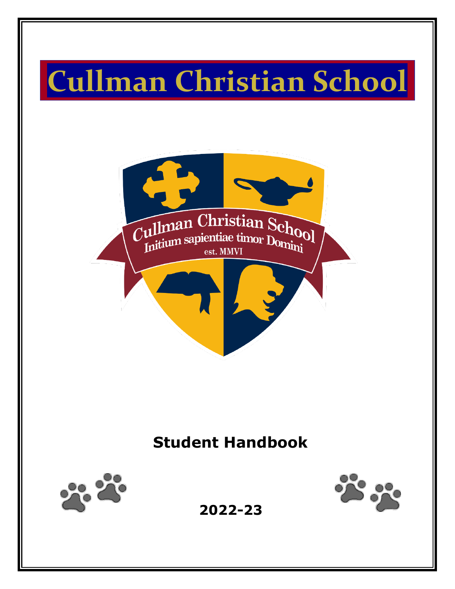# **Cullman Christian School**



# **Student Handbook**





**2022-23**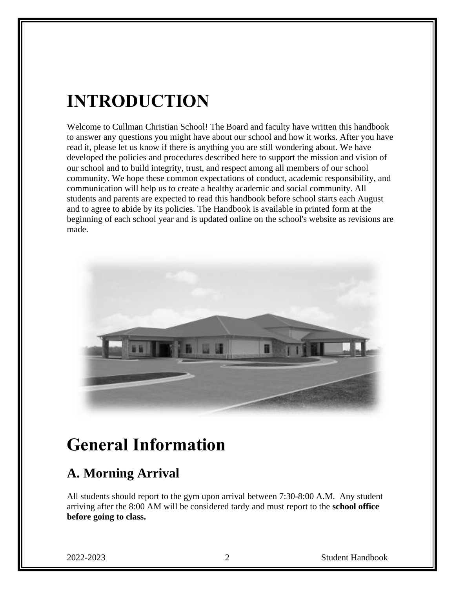# **INTRODUCTION**

Welcome to Cullman Christian School! The Board and faculty have written this handbook to answer any questions you might have about our school and how it works. After you have read it, please let us know if there is anything you are still wondering about. We have developed the policies and procedures described here to support the mission and vision of our school and to build integrity, trust, and respect among all members of our school community. We hope these common expectations of conduct, academic responsibility, and communication will help us to create a healthy academic and social community. All students and parents are expected to read this handbook before school starts each August and to agree to abide by its policies. The Handbook is available in printed form at the beginning of each school year and is updated online on the school's website as revisions are made.



## **General Information**

### **A. Morning Arrival**

All students should report to the gym upon arrival between 7:30-8:00 A.M. Any student arriving after the 8:00 AM will be considered tardy and must report to the **school office before going to class.**

2022-2023 2 Student Handbook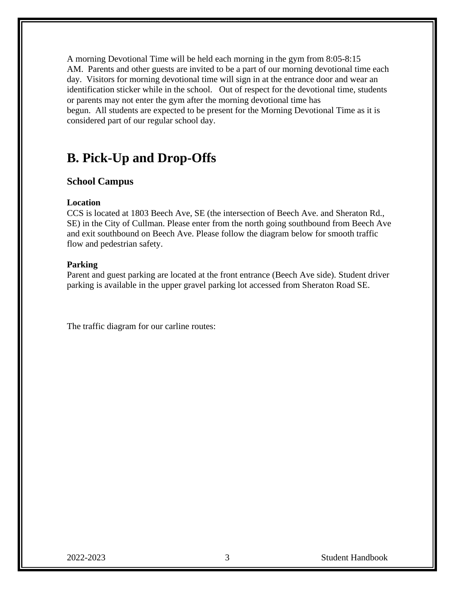A morning Devotional Time will be held each morning in the gym from 8:05-8:15 AM. Parents and other guests are invited to be a part of our morning devotional time each day. Visitors for morning devotional time will sign in at the entrance door and wear an identification sticker while in the school. Out of respect for the devotional time, students or parents may not enter the gym after the morning devotional time has begun. All students are expected to be present for the Morning Devotional Time as it is considered part of our regular school day.

#### **B. Pick-Up and Drop-Offs**

#### **School Campus**

#### **Location**

CCS is located at 1803 Beech Ave, SE (the intersection of Beech Ave. and Sheraton Rd., SE) in the City of Cullman. Please enter from the north going southbound from Beech Ave and exit southbound on Beech Ave. Please follow the diagram below for smooth traffic flow and pedestrian safety.

#### **Parking**

Parent and guest parking are located at the front entrance (Beech Ave side). Student driver parking is available in the upper gravel parking lot accessed from Sheraton Road SE.

The traffic diagram for our carline routes: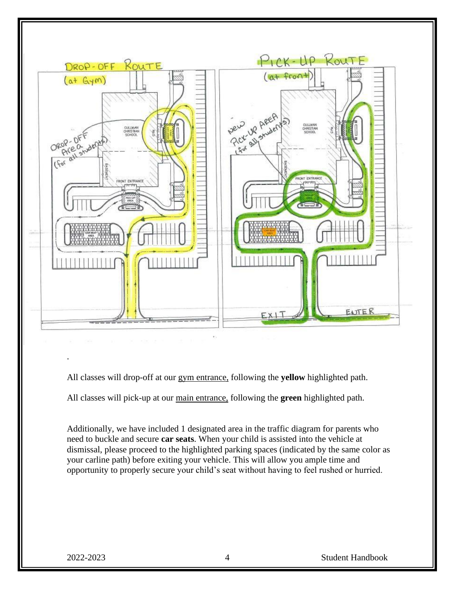

All classes will drop-off at our gym entrance, following the **yellow** highlighted path.

All classes will pick-up at our main entrance, following the **green** highlighted path.

Additionally, we have included 1 designated area in the traffic diagram for parents who need to buckle and secure **car seats**. When your child is assisted into the vehicle at dismissal, please proceed to the highlighted parking spaces (indicated by the same color as your carline path) before exiting your vehicle. This will allow you ample time and opportunity to properly secure your child's seat without having to feel rushed or hurried.

.

2022-2023 4 Student Handbook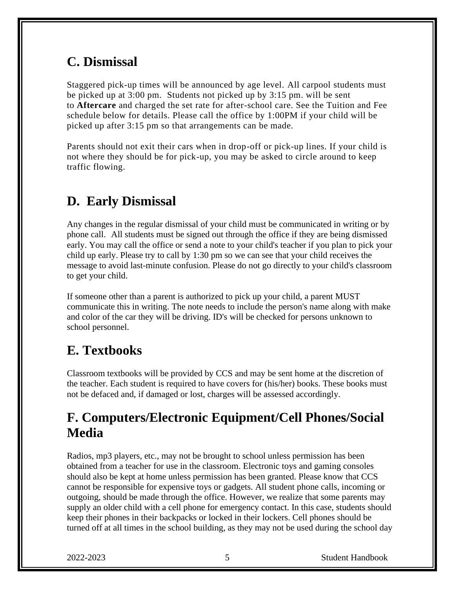### **C. Dismissal**

Staggered pick-up times will be announced by age level. All carpool students must be picked up at 3:00 pm. Students not picked up by 3:15 pm. will be sent to **Aftercare** and charged the set rate for after-school care. See the Tuition and Fee schedule below for details. Please call the office by 1:00PM if your child will be picked up after 3:15 pm so that arrangements can be made.

Parents should not exit their cars when in drop-off or pick-up lines. If your child is not where they should be for pick-up, you may be asked to circle around to keep traffic flowing.

### **D.****Early Dismissal**

Any changes in the regular dismissal of your child must be communicated in writing or by phone call. All students must be signed out through the office if they are being dismissed early. You may call the office or send a note to your child's teacher if you plan to pick your child up early. Please try to call by 1:30 pm so we can see that your child receives the message to avoid last-minute confusion. Please do not go directly to your child's classroom to get your child.

If someone other than a parent is authorized to pick up your child, a parent MUST communicate this in writing. The note needs to include the person's name along with make and color of the car they will be driving. ID's will be checked for persons unknown to school personnel.

### **E. Textbooks**

Classroom textbooks will be provided by CCS and may be sent home at the discretion of the teacher. Each student is required to have covers for (his/her) books. These books must not be defaced and, if damaged or lost, charges will be assessed accordingly.

### **F. Computers/Electronic Equipment/Cell Phones/Social Media**

Radios, mp3 players, etc., may not be brought to school unless permission has been obtained from a teacher for use in the classroom. Electronic toys and gaming consoles should also be kept at home unless permission has been granted. Please know that CCS cannot be responsible for expensive toys or gadgets. All student phone calls, incoming or outgoing, should be made through the office. However, we realize that some parents may supply an older child with a cell phone for emergency contact. In this case, students should keep their phones in their backpacks or locked in their lockers. Cell phones should be turned off at all times in the school building, as they may not be used during the school day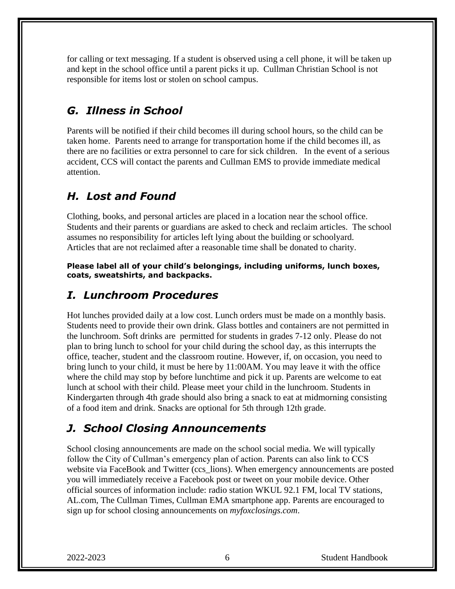for calling or text messaging. If a student is observed using a cell phone, it will be taken up and kept in the school office until a parent picks it up. Cullman Christian School is not responsible for items lost or stolen on school campus.

#### *G. Illness in School*

Parents will be notified if their child becomes ill during school hours, so the child can be taken home. Parents need to arrange for transportation home if the child becomes ill, as there are no facilities or extra personnel to care for sick children. In the event of a serious accident, CCS will contact the parents and Cullman EMS to provide immediate medical attention.

#### *H. Lost and Found*

Clothing, books, and personal articles are placed in a location near the school office. Students and their parents or guardians are asked to check and reclaim articles. The school assumes no responsibility for articles left lying about the building or schoolyard. Articles that are not reclaimed after a reasonable time shall be donated to charity.

**Please label all of your child's belongings, including uniforms, lunch boxes, coats, sweatshirts, and backpacks.**

#### *I. Lunchroom Procedures*

Hot lunches provided daily at a low cost. Lunch orders must be made on a monthly basis. Students need to provide their own drink. Glass bottles and containers are not permitted in the lunchroom. Soft drinks are permitted for students in grades 7-12 only. Please do not plan to bring lunch to school for your child during the school day, as this interrupts the office, teacher, student and the classroom routine. However, if, on occasion, you need to bring lunch to your child, it must be here by 11:00AM. You may leave it with the office where the child may stop by before lunchtime and pick it up. Parents are welcome to eat lunch at school with their child. Please meet your child in the lunchroom. Students in Kindergarten through 4th grade should also bring a snack to eat at midmorning consisting of a food item and drink. Snacks are optional for 5th through 12th grade.

#### *J. School Closing Announcements*

School closing announcements are made on the school social media. We will typically follow the City of Cullman's emergency plan of action. Parents can also link to CCS website via FaceBook and Twitter (ccs\_lions). When emergency announcements are posted you will immediately receive a Facebook post or tweet on your mobile device. Other official sources of information include: radio station WKUL 92.1 FM, local TV stations, AL.com, The Cullman Times, Cullman EMA smartphone app. Parents are encouraged to sign up for school closing announcements on *[myfoxclosings.com](http://ftpcontent.worldnow.com/wbrc/closings/)*.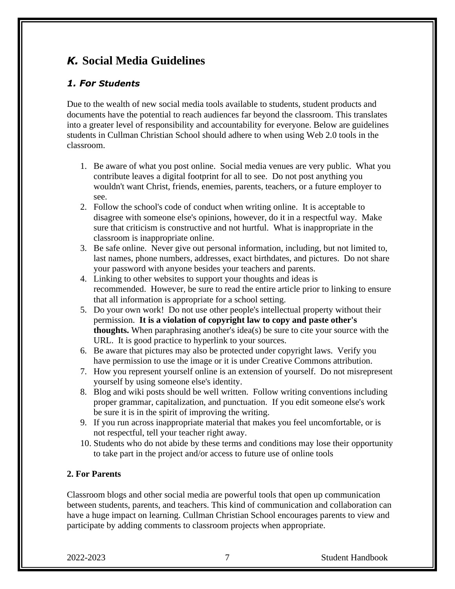#### *K.* **Social Media Guidelines**

#### *1. For Students*

Due to the wealth of new social media tools available to students, student products and documents have the potential to reach audiences far beyond the classroom. This translates into a greater level of responsibility and accountability for everyone. Below are guidelines students in Cullman Christian School should adhere to when using Web 2.0 tools in the classroom.

- 1. Be aware of what you post online. Social media venues are very public. What you contribute leaves a digital footprint for all to see. Do not post anything you wouldn't want Christ, friends, enemies, parents, teachers, or a future employer to see.
- 2. Follow the school's code of conduct when writing online. It is acceptable to disagree with someone else's opinions, however, do it in a respectful way. Make sure that criticism is constructive and not hurtful. What is inappropriate in the classroom is inappropriate online.
- 3. Be safe online. Never give out personal information, including, but not limited to, last names, phone numbers, addresses, exact birthdates, and pictures. Do not share your password with anyone besides your teachers and parents.
- 4. Linking to other websites to support your thoughts and ideas is recommended. However, be sure to read the entire article prior to linking to ensure that all information is appropriate for a school setting.
- 5. Do your own work! Do not use other people's intellectual property without their permission. **It is a violation of copyright law to copy and paste other's thoughts.** When paraphrasing another's idea(s) be sure to cite your source with the URL. It is good practice to hyperlink to your sources.
- 6. Be aware that pictures may also be protected under copyright laws. Verify you have permission to use the image or it is under Creative Commons attribution.
- 7. How you represent yourself online is an extension of yourself. Do not misrepresent yourself by using someone else's identity.
- 8. Blog and wiki posts should be well written. Follow writing conventions including proper grammar, capitalization, and punctuation. If you edit someone else's work be sure it is in the spirit of improving the writing.
- 9. If you run across inappropriate material that makes you feel uncomfortable, or is not respectful, tell your teacher right away.
- 10. Students who do not abide by these terms and conditions may lose their opportunity to take part in the project and/or access to future use of online tools

#### **2. For Parents**

Classroom blogs and other social media are powerful tools that open up communication between students, parents, and teachers. This kind of communication and collaboration can have a huge impact on learning. Cullman Christian School encourages parents to view and participate by adding comments to classroom projects when appropriate.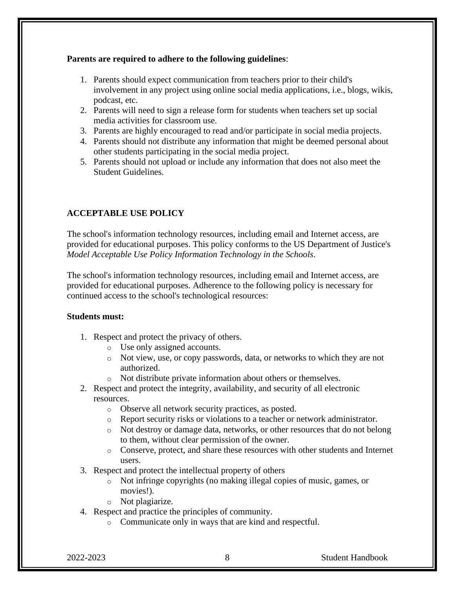#### **Parents are required to adhere to the following guidelines**:

- 1. Parents should expect communication from teachers prior to their child's involvement in any project using online social media applications, i.e., blogs, wikis, podcast, etc.
- 2. Parents will need to sign a release form for students when teachers set up social media activities for classroom use.
- 3. Parents are highly encouraged to read and/or participate in social media projects.
- 4. Parents should not distribute any information that might be deemed personal about other students participating in the social media project.
- 5. Parents should not upload or include any information that does not also meet the Student Guidelines.

#### **ACCEPTABLE USE POLICY**

The school's information technology resources, including email and Internet access, are provided for educational purposes. This policy conforms to the US Department of Justice's *Model Acceptable Use Policy Information Technology in the Schools*.

The school's information technology resources, including email and Internet access, are provided for educational purposes. Adherence to the following policy is necessary for continued access to the school's technological resources:

#### **Students must:**

- 1. Respect and protect the privacy of others.
	- o Use only assigned accounts.
	- o Not view, use, or copy passwords, data, or networks to which they are not authorized.
	- o Not distribute private information about others or themselves.
- 2. Respect and protect the integrity, availability, and security of all electronic resources.
	- o Observe all network security practices, as posted.
	- o Report security risks or violations to a teacher or network administrator.
	- o Not destroy or damage data, networks, or other resources that do not belong to them, without clear permission of the owner.
	- o Conserve, protect, and share these resources with other students and Internet users.
- 3. Respect and protect the intellectual property of others
	- o Not infringe copyrights (no making illegal copies of music, games, or movies!).
	- o Not plagiarize.
- 4. Respect and practice the principles of community.
	- o Communicate only in ways that are kind and respectful.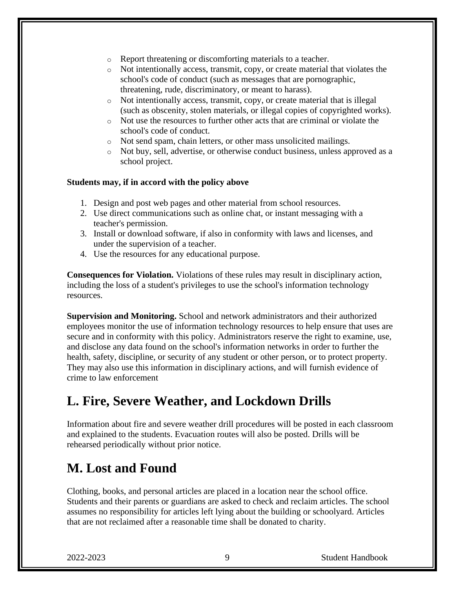- o Report threatening or discomforting materials to a teacher.
- o Not intentionally access, transmit, copy, or create material that violates the school's code of conduct (such as messages that are pornographic, threatening, rude, discriminatory, or meant to harass).
- o Not intentionally access, transmit, copy, or create material that is illegal (such as obscenity, stolen materials, or illegal copies of copyrighted works).
- $\circ$  Not use the resources to further other acts that are criminal or violate the school's code of conduct.
- o Not send spam, chain letters, or other mass unsolicited mailings.
- o Not buy, sell, advertise, or otherwise conduct business, unless approved as a school project.

#### **Students may, if in accord with the policy above**

- 1. Design and post web pages and other material from school resources.
- 2. Use direct communications such as online chat, or instant messaging with a teacher's permission.
- 3. Install or download software, if also in conformity with laws and licenses, and under the supervision of a teacher.
- 4. Use the resources for any educational purpose.

**Consequences for Violation.** Violations of these rules may result in disciplinary action, including the loss of a student's privileges to use the school's information technology resources.

**Supervision and Monitoring.** School and network administrators and their authorized employees monitor the use of information technology resources to help ensure that uses are secure and in conformity with this policy. Administrators reserve the right to examine, use, and disclose any data found on the school's information networks in order to further the health, safety, discipline, or security of any student or other person, or to protect property. They may also use this information in disciplinary actions, and will furnish evidence of crime to law enforcement

### **L. Fire, Severe Weather, and Lockdown Drills**

Information about fire and severe weather drill procedures will be posted in each classroom and explained to the students. Evacuation routes will also be posted. Drills will be rehearsed periodically without prior notice.

### **M. Lost and Found**

Clothing, books, and personal articles are placed in a location near the school office. Students and their parents or guardians are asked to check and reclaim articles. The school assumes no responsibility for articles left lying about the building or schoolyard. Articles that are not reclaimed after a reasonable time shall be donated to charity.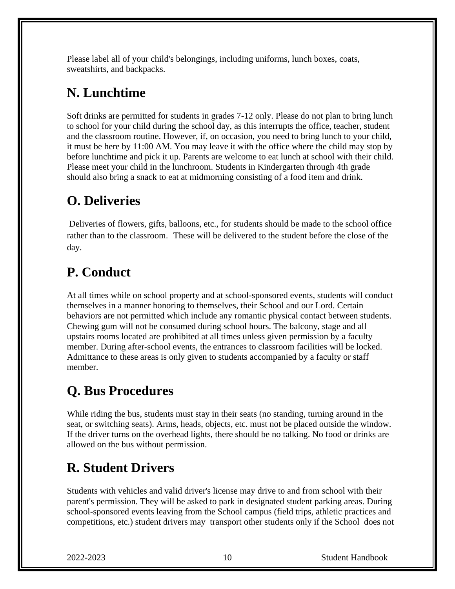Please label all of your child's belongings, including uniforms, lunch boxes, coats, sweatshirts, and backpacks.

### **N. Lunchtime**

Soft drinks are permitted for students in grades 7-12 only. Please do not plan to bring lunch to school for your child during the school day, as this interrupts the office, teacher, student and the classroom routine. However, if, on occasion, you need to bring lunch to your child, it must be here by 11:00 AM. You may leave it with the office where the child may stop by before lunchtime and pick it up. Parents are welcome to eat lunch at school with their child. Please meet your child in the lunchroom. Students in Kindergarten through 4th grade should also bring a snack to eat at midmorning consisting of a food item and drink.

### **O. Deliveries**

Deliveries of flowers, gifts, balloons, etc., for students should be made to the school office rather than to the classroom. These will be delivered to the student before the close of the day.

### **P. Conduct**

At all times while on school property and at school-sponsored events, students will conduct themselves in a manner honoring to themselves, their School and our Lord. Certain behaviors are not permitted which include any romantic physical contact between students. Chewing gum will not be consumed during school hours. The balcony, stage and all upstairs rooms located are prohibited at all times unless given permission by a faculty member. During after-school events, the entrances to classroom facilities will be locked. Admittance to these areas is only given to students accompanied by a faculty or staff member.

### **Q. Bus Procedures**

While riding the bus, students must stay in their seats (no standing, turning around in the seat, or switching seats). Arms, heads, objects, etc. must not be placed outside the window. If the driver turns on the overhead lights, there should be no talking. No food or drinks are allowed on the bus without permission.

### **R. Student Drivers**

Students with vehicles and valid driver's license may drive to and from school with their parent's permission. They will be asked to park in designated student parking areas. During school-sponsored events leaving from the School campus (field trips, athletic practices and competitions, etc.) student drivers may transport other students only if the School does not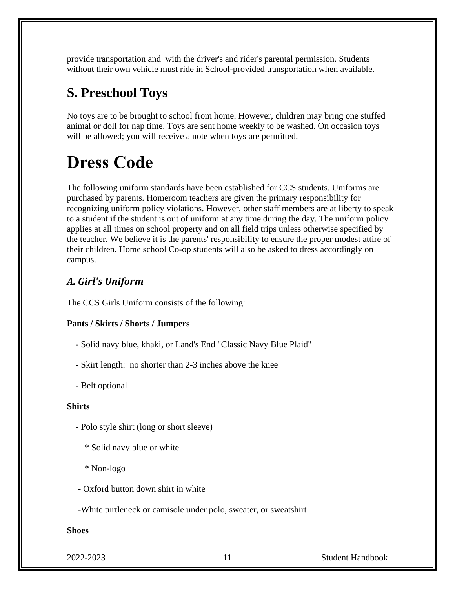provide transportation and with the driver's and rider's parental permission. Students without their own vehicle must ride in School-provided transportation when available.

### **S. Preschool Toys**

No toys are to be brought to school from home. However, children may bring one stuffed animal or doll for nap time. Toys are sent home weekly to be washed. On occasion toys will be allowed; you will receive a note when toys are permitted.

# **Dress Code**

The following uniform standards have been established for CCS students. Uniforms are purchased by parents. Homeroom teachers are given the primary responsibility for recognizing uniform policy violations. However, other staff members are at liberty to speak to a student if the student is out of uniform at any time during the day. The uniform policy applies at all times on school property and on all field trips unless otherwise specified by the teacher. We believe it is the parents' responsibility to ensure the proper modest attire of their children. Home school Co-op students will also be asked to dress accordingly on campus.

#### *A. Girl's Uniform*

The CCS Girls Uniform consists of the following:

#### **Pants / Skirts / Shorts / Jumpers**

- Solid navy blue, khaki, or Land's End "Classic Navy Blue Plaid"
- Skirt length: no shorter than 2-3 inches above the knee
- Belt optional

#### **Shirts**

- Polo style shirt (long or short sleeve)
	- \* Solid navy blue or white
	- \* Non-logo
- Oxford button down shirt in white
- -White turtleneck or camisole under polo, sweater, or sweatshirt

#### **Shoes**

2022-2023 11 Student Handbook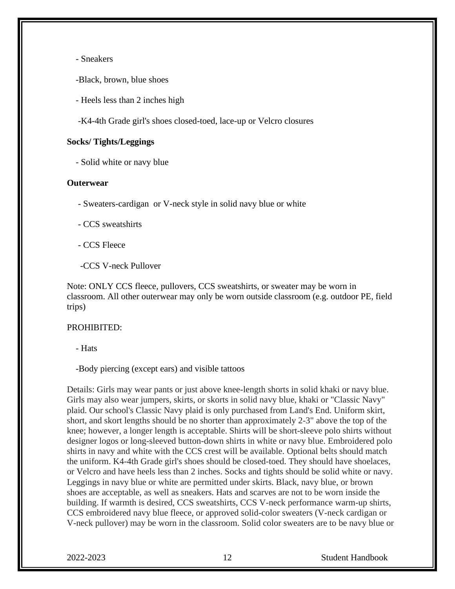- Sneakers

-Black, brown, blue shoes

- Heels less than 2 inches high

-K4-4th Grade girl's shoes closed-toed, lace-up or Velcro closures

#### **Socks/ Tights/Leggings**

- Solid white or navy blue

#### **Outerwear**

- Sweaters-cardigan or V-neck style in solid navy blue or white

- CCS sweatshirts
- CCS Fleece
- -CCS V-neck Pullover

Note: ONLY CCS fleece, pullovers, CCS sweatshirts, or sweater may be worn in classroom. All other outerwear may only be worn outside classroom (e.g. outdoor PE, field trips)

#### PROHIBITED:

- Hats

-Body piercing (except ears) and visible tattoos

Details: Girls may wear pants or just above knee-length shorts in solid khaki or navy blue. Girls may also wear jumpers, skirts, or skorts in solid navy blue, khaki or "Classic Navy" plaid. Our school's Classic Navy plaid is only purchased from Land's End. Uniform skirt, short, and skort lengths should be no shorter than approximately 2-3" above the top of the knee; however, a longer length is acceptable. Shirts will be short-sleeve polo shirts without designer logos or long-sleeved button-down shirts in white or navy blue. Embroidered polo shirts in navy and white with the CCS crest will be available. Optional belts should match the uniform. K4-4th Grade girl's shoes should be closed-toed. They should have shoelaces, or Velcro and have heels less than 2 inches. Socks and tights should be solid white or navy. Leggings in navy blue or white are permitted under skirts. Black, navy blue, or brown shoes are acceptable, as well as sneakers. Hats and scarves are not to be worn inside the building. If warmth is desired, CCS sweatshirts, CCS V-neck performance warm-up shirts, CCS embroidered navy blue fleece, or approved solid-color sweaters (V-neck cardigan or V-neck pullover) may be worn in the classroom. Solid color sweaters are to be navy blue or

2022-2023 12 Student Handbook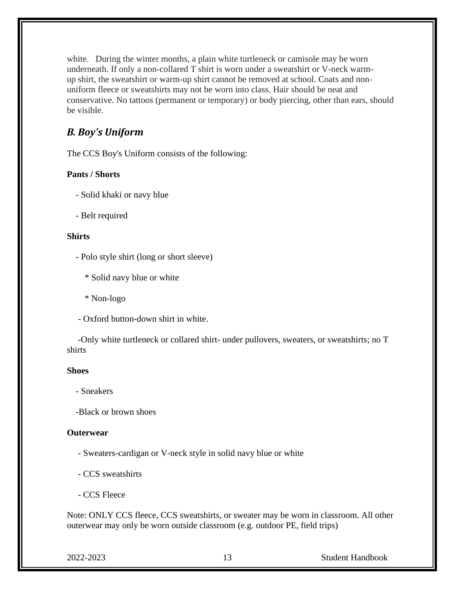white. During the winter months, a plain white turtleneck or camisole may be worn underneath. If only a non-collared T shirt is worn under a sweatshirt or V-neck warmup shirt, the sweatshirt or warm-up shirt cannot be removed at school. Coats and nonuniform fleece or sweatshirts may not be worn into class. Hair should be neat and conservative. No tattoos (permanent or temporary) or body piercing, other than ears, should be visible.

#### *B. Boy's Uniform*

The CCS Boy's Uniform consists of the following:

#### **Pants / Shorts**

- Solid khaki or navy blue
- Belt required

#### **Shirts**

- Polo style shirt (long or short sleeve)
	- \* Solid navy blue or white
	- \* Non-logo
- Oxford button-down shirt in white.

 -Only white turtleneck or collared shirt- under pullovers, sweaters, or sweatshirts; no T shirts

#### **Shoes**

- Sneakers

-Black or brown shoes

#### **Outerwear**

- Sweaters-cardigan or V-neck style in solid navy blue or white
- CCS sweatshirts
- CCS Fleece

Note: ONLY CCS fleece, CCS sweatshirts, or sweater may be worn in classroom. All other outerwear may only be worn outside classroom (e.g. outdoor PE, field trips)

2022-2023 13 Student Handbook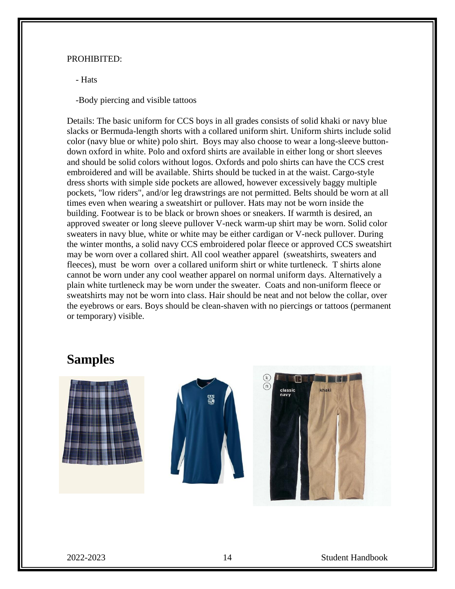#### PROHIBITED:

- Hats

-Body piercing and visible tattoos

Details: The basic uniform for CCS boys in all grades consists of solid khaki or navy blue slacks or Bermuda-length shorts with a collared uniform shirt. Uniform shirts include solid color (navy blue or white) polo shirt. Boys may also choose to wear a long-sleeve buttondown oxford in white. Polo and oxford shirts are available in either long or short sleeves and should be solid colors without logos. Oxfords and polo shirts can have the CCS crest embroidered and will be available. Shirts should be tucked in at the waist. Cargo-style dress shorts with simple side pockets are allowed, however excessively baggy multiple pockets, "low riders", and/or leg drawstrings are not permitted. Belts should be worn at all times even when wearing a sweatshirt or pullover. Hats may not be worn inside the building. Footwear is to be black or brown shoes or sneakers. If warmth is desired, an approved sweater or long sleeve pullover V-neck warm-up shirt may be worn. Solid color sweaters in navy blue, white or white may be either cardigan or V-neck pullover. During the winter months, a solid navy CCS embroidered polar fleece or approved CCS sweatshirt may be worn over a collared shirt. All cool weather apparel (sweatshirts, sweaters and fleeces), must be worn over a collared uniform shirt or white turtleneck. T shirts alone cannot be worn under any cool weather apparel on normal uniform days. Alternatively a plain white turtleneck may be worn under the sweater. Coats and non-uniform fleece or sweatshirts may not be worn into class. Hair should be neat and not below the collar, over the eyebrows or ears. Boys should be clean-shaven with no piercings or tattoos (permanent or temporary) visible.

#### **Samples**



2022-2023 14 Student Handbook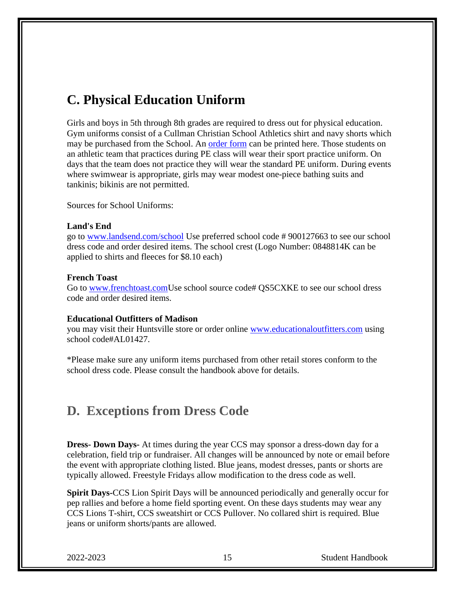### **C. Physical Education Uniform**

Girls and boys in 5th through 8th grades are required to dress out for physical education. Gym uniforms consist of a Cullman Christian School Athletics shirt and navy shorts which may be purchased from the School. An [order form](http://www.cullmanchristian.com/site/sites/default/files/documents/pe%2Border%2Bform.pdf) can be printed here. Those students on an athletic team that practices during PE class will wear their sport practice uniform. On days that the team does not practice they will wear the standard PE uniform. During events where swimwear is appropriate, girls may wear modest one-piece bathing suits and tankinis; bikinis are not permitted.

Sources for School Uniforms:

#### **Land's End**

go to [www.landsend.com/school](http://landsend.com/school) Use preferred school code # 900127663 to see our school dress code and order desired items. The school crest (Logo Number: 0848814K can be applied to shirts and fleeces for \$8.10 each)

#### **French Toast**

Go to [www.frenchtoast.comU](http://frenchtoast.com/)se school source code# QS5CXKE to see our school dress code and order desired items.

#### **Educational Outfitters of Madison**

you may visit their Huntsville store or order online [www.educationaloutfitters.com](http://www.educationaloutfitters.com/SchoolStore.aspx?SchoolCode=AL01427&Schoolid=1428) using school code#AL01427.

\*Please make sure any uniform items purchased from other retail stores conform to the school dress code. Please consult the handbook above for details.

#### **D. Exceptions from Dress Code**

**Dress- Down Days-** At times during the year CCS may sponsor a dress-down day for a celebration, field trip or fundraiser. All changes will be announced by note or email before the event with appropriate clothing listed. Blue jeans, modest dresses, pants or shorts are typically allowed. Freestyle Fridays allow modification to the dress code as well.

**Spirit Days-**CCS Lion Spirit Days will be announced periodically and generally occur for pep rallies and before a home field sporting event. On these days students may wear any CCS Lions T-shirt, CCS sweatshirt or CCS Pullover. No collared shirt is required. Blue jeans or uniform shorts/pants are allowed.

2022-2023 15 Student Handbook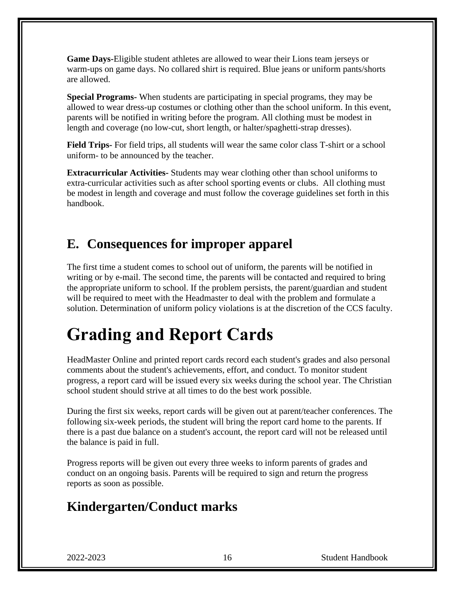**Game Days-**Eligible student athletes are allowed to wear their Lions team jerseys or warm-ups on game days. No collared shirt is required. Blue jeans or uniform pants/shorts are allowed.

**Special Programs-** When students are participating in special programs, they may be allowed to wear dress-up costumes or clothing other than the school uniform. In this event, parents will be notified in writing before the program. All clothing must be modest in length and coverage (no low-cut, short length, or halter/spaghetti-strap dresses).

**Field Trips-** For field trips, all students will wear the same color class T-shirt or a school uniform- to be announced by the teacher.

**Extracurricular Activities-** Students may wear clothing other than school uniforms to extra-curricular activities such as after school sporting events or clubs. All clothing must be modest in length and coverage and must follow the coverage guidelines set forth in this handbook.

### **E. Consequences for improper apparel**

The first time a student comes to school out of uniform, the parents will be notified in writing or by e-mail. The second time, the parents will be contacted and required to bring the appropriate uniform to school. If the problem persists, the parent/guardian and student will be required to meet with the Headmaster to deal with the problem and formulate a solution. Determination of uniform policy violations is at the discretion of the CCS faculty.

# **Grading and Report Cards**

HeadMaster Online and printed report cards record each student's grades and also personal comments about the student's achievements, effort, and conduct. To monitor student progress, a report card will be issued every six weeks during the school year. The Christian school student should strive at all times to do the best work possible.

During the first six weeks, report cards will be given out at parent/teacher conferences. The following six-week periods, the student will bring the report card home to the parents. If there is a past due balance on a student's account, the report card will not be released until the balance is paid in full.

Progress reports will be given out every three weeks to inform parents of grades and conduct on an ongoing basis. Parents will be required to sign and return the progress reports as soon as possible.

### **Kindergarten/Conduct marks**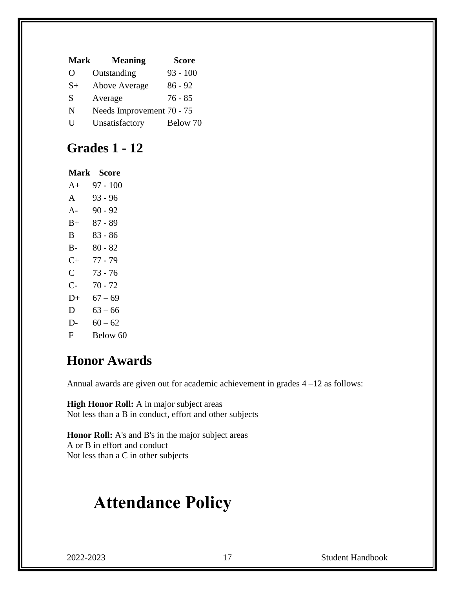| <b>Mark</b> | <b>Meaning</b>            | <b>Score</b> |
|-------------|---------------------------|--------------|
| O           | Outstanding               | $93 - 100$   |
| $S+$        | Above Average             | $86 - 92$    |
| S           | Average                   | $76 - 85$    |
| N           | Needs Improvement 70 - 75 |              |
| U           | Unsatisfactory            | Below 70     |
|             |                           |              |

### **Grades 1 - 12**

#### **Mark Score**

A+ 97 - 100 A 93 - 96 A- 90 - 92 B+ 87 - 89 B 83 - 86 B- 80 - 82 C+ 77 - 79 C 73 - 76 C- 70 - 72  $D+ 67-69$ D  $63 - 66$ D-  $60 - 62$ F Below 60

#### **Honor Awards**

Annual awards are given out for academic achievement in grades 4 –12 as follows:

**High Honor Roll:** A in major subject areas Not less than a B in conduct, effort and other subjects

**Honor Roll:** A's and B's in the major subject areas A or B in effort and conduct Not less than a C in other subjects

# **Attendance Policy**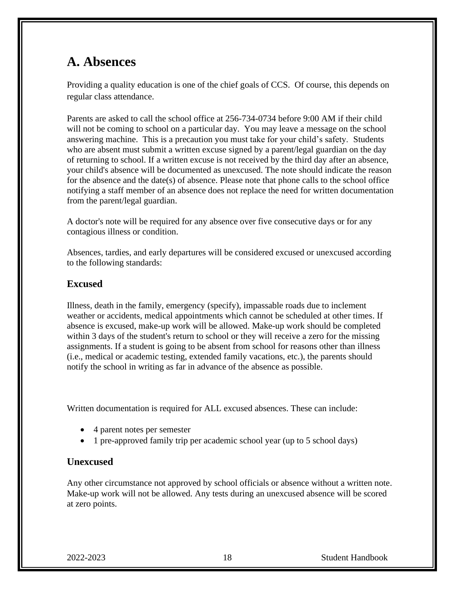### **A. Absences**

Providing a quality education is one of the chief goals of CCS. Of course, this depends on regular class attendance.

Parents are asked to call the school office at 256-734-0734 before 9:00 AM if their child will not be coming to school on a particular day. You may leave a message on the school answering machine. This is a precaution you must take for your child's safety. Students who are absent must submit a written excuse signed by a parent/legal guardian on the day of returning to school. If a written excuse is not received by the third day after an absence, your child's absence will be documented as unexcused. The note should indicate the reason for the absence and the date(s) of absence. Please note that phone calls to the school office notifying a staff member of an absence does not replace the need for written documentation from the parent/legal guardian.

A doctor's note will be required for any absence over five consecutive days or for any contagious illness or condition.

Absences, tardies, and early departures will be considered excused or unexcused according to the following standards:

#### **Excused**

Illness, death in the family, emergency (specify), impassable roads due to inclement weather or accidents, medical appointments which cannot be scheduled at other times. If absence is excused, make-up work will be allowed. Make-up work should be completed within 3 days of the student's return to school or they will receive a zero for the missing assignments. If a student is going to be absent from school for reasons other than illness (i.e., medical or academic testing, extended family vacations, etc.), the parents should notify the school in writing as far in advance of the absence as possible.

Written documentation is required for ALL excused absences. These can include:

- 4 parent notes per semester
- 1 pre-approved family trip per academic school year (up to 5 school days)

#### **Unexcused**

Any other circumstance not approved by school officials or absence without a written note. Make-up work will not be allowed. Any tests during an unexcused absence will be scored at zero points.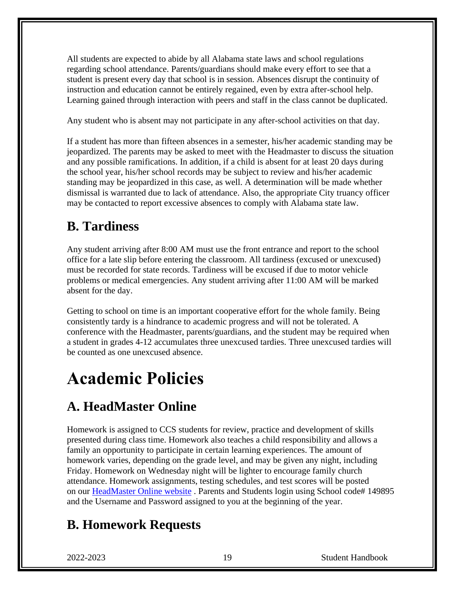All students are expected to abide by all Alabama state laws and school regulations regarding school attendance. Parents/guardians should make every effort to see that a student is present every day that school is in session. Absences disrupt the continuity of instruction and education cannot be entirely regained, even by extra after-school help. Learning gained through interaction with peers and staff in the class cannot be duplicated.

Any student who is absent may not participate in any after-school activities on that day.

If a student has more than fifteen absences in a semester, his/her academic standing may be jeopardized. The parents may be asked to meet with the Headmaster to discuss the situation and any possible ramifications. In addition, if a child is absent for at least 20 days during the school year, his/her school records may be subject to review and his/her academic standing may be jeopardized in this case, as well. A determination will be made whether dismissal is warranted due to lack of attendance. Also, the appropriate City truancy officer may be contacted to report excessive absences to comply with Alabama state law.

### **B. Tardiness**

Any student arriving after 8:00 AM must use the front entrance and report to the school office for a late slip before entering the classroom. All tardiness (excused or unexcused) must be recorded for state records. Tardiness will be excused if due to motor vehicle problems or medical emergencies. Any student arriving after 11:00 AM will be marked absent for the day.

Getting to school on time is an important cooperative effort for the whole family. Being consistently tardy is a hindrance to academic progress and will not be tolerated. A conference with the Headmaster, parents/guardians, and the student may be required when a student in grades 4-12 accumulates three unexcused tardies. Three unexcused tardies will be counted as one unexcused absence.

# **Academic Policies**

### **A. HeadMaster Online**

Homework is assigned to CCS students for review, practice and development of skills presented during class time. Homework also teaches a child responsibility and allows a family an opportunity to participate in certain learning experiences. The amount of homework varies, depending on the grade level, and may be given any night, including Friday. Homework on Wednesday night will be lighter to encourage family church attendance. Homework assignments, testing schedules, and test scores will be posted on our [HeadMaster Online website](https://secure.headmasteronline.com/) . Parents and Students login using School code# 149895 and the Username and Password assigned to you at the beginning of the year.

### **B. Homework Requests**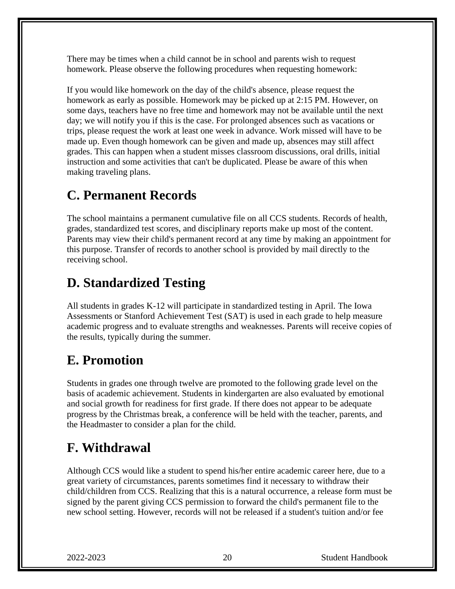There may be times when a child cannot be in school and parents wish to request homework. Please observe the following procedures when requesting homework:

If you would like homework on the day of the child's absence, please request the homework as early as possible. Homework may be picked up at 2:15 PM. However, on some days, teachers have no free time and homework may not be available until the next day; we will notify you if this is the case. For prolonged absences such as vacations or trips, please request the work at least one week in advance. Work missed will have to be made up. Even though homework can be given and made up, absences may still affect grades. This can happen when a student misses classroom discussions, oral drills, initial instruction and some activities that can't be duplicated. Please be aware of this when making traveling plans.

### **C. Permanent Records**

The school maintains a permanent cumulative file on all CCS students. Records of health, grades, standardized test scores, and disciplinary reports make up most of the content. Parents may view their child's permanent record at any time by making an appointment for this purpose. Transfer of records to another school is provided by mail directly to the receiving school.

### **D. Standardized Testing**

All students in grades K-12 will participate in standardized testing in April. The Iowa Assessments or Stanford Achievement Test (SAT) is used in each grade to help measure academic progress and to evaluate strengths and weaknesses. Parents will receive copies of the results, typically during the summer.

### **E. Promotion**

Students in grades one through twelve are promoted to the following grade level on the basis of academic achievement. Students in kindergarten are also evaluated by emotional and social growth for readiness for first grade. If there does not appear to be adequate progress by the Christmas break, a conference will be held with the teacher, parents, and the Headmaster to consider a plan for the child.

### **F. Withdrawal**

Although CCS would like a student to spend his/her entire academic career here, due to a great variety of circumstances, parents sometimes find it necessary to withdraw their child/children from CCS. Realizing that this is a natural occurrence, a release form must be signed by the parent giving CCS permission to forward the child's permanent file to the new school setting. However, records will not be released if a student's tuition and/or fee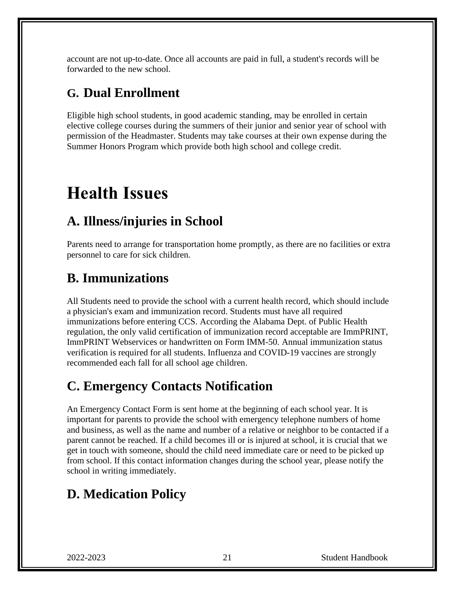account are not up-to-date. Once all accounts are paid in full, a student's records will be forwarded to the new school.

### **G. Dual Enrollment**

Eligible high school students, in good academic standing, may be enrolled in certain elective college courses during the summers of their junior and senior year of school with permission of the Headmaster. Students may take courses at their own expense during the Summer Honors Program which provide both high school and college credit.

# **Health Issues**

### **A. Illness/injuries in School**

Parents need to arrange for transportation home promptly, as there are no facilities or extra personnel to care for sick children.

### **B. Immunizations**

All Students need to provide the school with a current health record, which should include a physician's exam and immunization record. Students must have all required immunizations before entering CCS. According the Alabama Dept. of Public Health regulation, the only valid certification of immunization record acceptable are ImmPRINT, ImmPRINT Webservices or handwritten on Form IMM-50. Annual immunization status verification is required for all students. Influenza and COVID-19 vaccines are strongly recommended each fall for all school age children.

### **C. Emergency Contacts Notification**

An Emergency Contact Form is sent home at the beginning of each school year. It is important for parents to provide the school with emergency telephone numbers of home and business, as well as the name and number of a relative or neighbor to be contacted if a parent cannot be reached. If a child becomes ill or is injured at school, it is crucial that we get in touch with someone, should the child need immediate care or need to be picked up from school. If this contact information changes during the school year, please notify the school in writing immediately.

### **D. Medication Policy**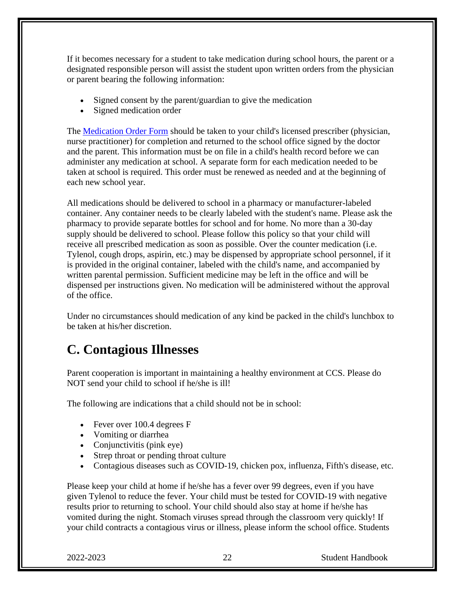If it becomes necessary for a student to take medication during school hours, the parent or a designated responsible person will assist the student upon written orders from the physician or parent bearing the following information:

- Signed consent by the parent/guardian to give the medication
- Signed medication order

The [Medication Order Form](http://www.cullmanchristian.com/site/sites/default/files/documents/medication%2Bform.pdf) should be taken to your child's licensed prescriber (physician, nurse practitioner) for completion and returned to the school office signed by the doctor and the parent. This information must be on file in a child's health record before we can administer any medication at school. A separate form for each medication needed to be taken at school is required. This order must be renewed as needed and at the beginning of each new school year.

All medications should be delivered to school in a pharmacy or manufacturer-labeled container. Any container needs to be clearly labeled with the student's name. Please ask the pharmacy to provide separate bottles for school and for home. No more than a 30-day supply should be delivered to school. Please follow this policy so that your child will receive all prescribed medication as soon as possible. Over the counter medication (i.e. Tylenol, cough drops, aspirin, etc.) may be dispensed by appropriate school personnel, if it is provided in the original container, labeled with the child's name, and accompanied by written parental permission. Sufficient medicine may be left in the office and will be dispensed per instructions given. No medication will be administered without the approval of the office.

Under no circumstances should medication of any kind be packed in the child's lunchbox to be taken at his/her discretion.

#### **C. Contagious Illnesses**

Parent cooperation is important in maintaining a healthy environment at CCS. Please do NOT send your child to school if he/she is ill!

The following are indications that a child should not be in school:

- Fever over 100.4 degrees F
- Vomiting or diarrhea
- Conjunctivitis (pink eye)
- Strep throat or pending throat culture
- Contagious diseases such as COVID-19, chicken pox, influenza, Fifth's disease, etc.

Please keep your child at home if he/she has a fever over 99 degrees, even if you have given Tylenol to reduce the fever. Your child must be tested for COVID-19 with negative results prior to returning to school. Your child should also stay at home if he/she has vomited during the night. Stomach viruses spread through the classroom very quickly! If your child contracts a contagious virus or illness, please inform the school office. Students

2022-2023 22 Student Handbook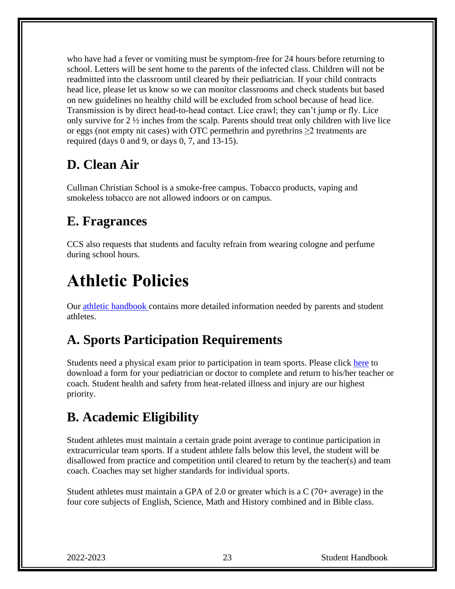who have had a fever or vomiting must be symptom-free for 24 hours before returning to school. Letters will be sent home to the parents of the infected class. Children will not be readmitted into the classroom until cleared by their pediatrician. If your child contracts head lice, please let us know so we can monitor classrooms and check students but based on new guidelines no healthy child will be excluded from school because of head lice. Transmission is by direct head-to-head contact. Lice crawl; they can't jump or fly. Lice only survive for  $2 \frac{1}{2}$  inches from the scalp. Parents should treat only children with live lice or eggs (not empty nit cases) with OTC permethrin and pyrethrins ≥2 treatments are required (days 0 and 9, or days  $0, 7$ , and  $13-15$ ).

### **D. Clean Air**

Cullman Christian School is a smoke-free campus. Tobacco products, vaping and smokeless tobacco are not allowed indoors or on campus.

### **E. Fragrances**

CCS also requests that students and faculty refrain from wearing cologne and perfume during school hours.

# **Athletic Policies**

Our [athletic handbook c](http://www.cullmanchristian.com/site/sites/default/files/documents/athletic_handbook.pdf)ontains more detailed information needed by parents and student athletes.

### **A. Sports Participation Requirements**

Students need a physical exam prior to participation in team sports. Please click [here](http://www.cullmanchristian.com/site/sites/default/files/documents/PRE-physical_exam_form_12.28.06.doc) to download a form for your pediatrician or doctor to complete and return to his/her teacher or coach. Student health and safety from heat-related illness and injury are our highest priority.

### **B. Academic Eligibility**

Student athletes must maintain a certain grade point average to continue participation in extracurricular team sports. If a student athlete falls below this level, the student will be disallowed from practice and competition until cleared to return by the teacher(s) and team coach. Coaches may set higher standards for individual sports.

Student athletes must maintain a GPA of 2.0 or greater which is a  $C(70+)$  average) in the four core subjects of English, Science, Math and History combined and in Bible class.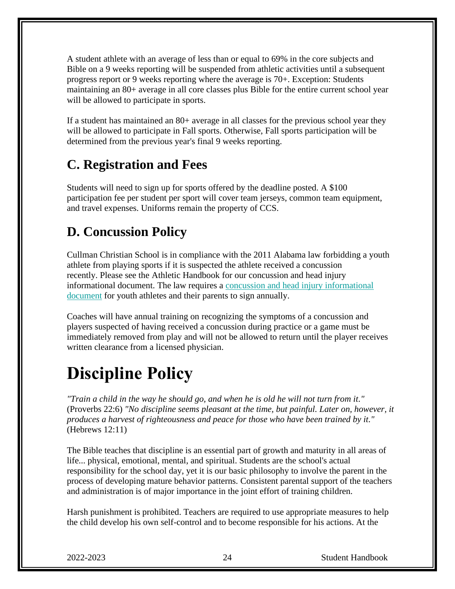A student athlete with an average of less than or equal to 69% in the core subjects and Bible on a 9 weeks reporting will be suspended from athletic activities until a subsequent progress report or 9 weeks reporting where the average is 70+. Exception: Students maintaining an 80+ average in all core classes plus Bible for the entire current school year will be allowed to participate in sports.

If a student has maintained an 80+ average in all classes for the previous school year they will be allowed to participate in Fall sports. Otherwise, Fall sports participation will be determined from the previous year's final 9 weeks reporting.

### **C. Registration and Fees**

Students will need to sign up for sports offered by the deadline posted. A \$100 participation fee per student per sport will cover team jerseys, common team equipment, and travel expenses. Uniforms remain the property of CCS.

### **D. Concussion Policy**

Cullman Christian School is in compliance with the 2011 Alabama law forbidding a youth athlete from playing sports if it is suspected the athlete received a concussion recently. Please see the Athletic Handbook for our concussion and head injury informational document. The law requires a [concussion and head injury informational](file:///C:/Users/Scott/Documents/CCS%20Documents/Concussion%20Information%20Sheet%20and%20Student%20Consent.pdf)  [document](file:///C:/Users/Scott/Documents/CCS%20Documents/Concussion%20Information%20Sheet%20and%20Student%20Consent.pdf) for youth athletes and their parents to sign annually.

Coaches will have annual training on recognizing the symptoms of a concussion and players suspected of having received a concussion during practice or a game must be immediately removed from play and will not be allowed to return until the player receives written clearance from a licensed physician.

# **Discipline Policy**

*"Train a child in the way he should go, and when he is old he will not turn from it."* (Proverbs 22:6) *"No discipline seems pleasant at the time, but painful. Later on, however, it produces a harvest of righteousness and peace for those who have been trained by it."* (Hebrews 12:11)

The Bible teaches that discipline is an essential part of growth and maturity in all areas of life... physical, emotional, mental, and spiritual. Students are the school's actual responsibility for the school day, yet it is our basic philosophy to involve the parent in the process of developing mature behavior patterns. Consistent parental support of the teachers and administration is of major importance in the joint effort of training children.

Harsh punishment is prohibited. Teachers are required to use appropriate measures to help the child develop his own self-control and to become responsible for his actions. At the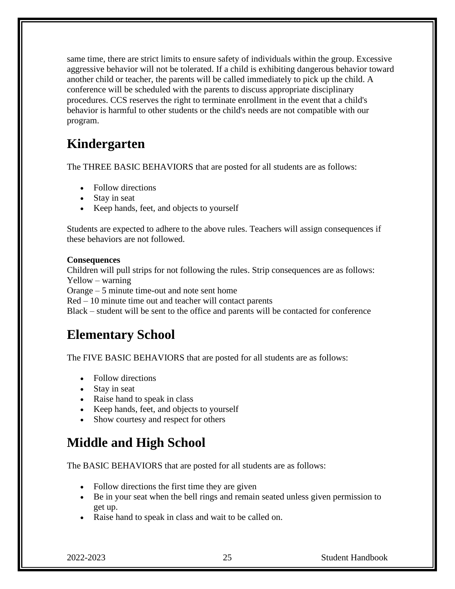same time, there are strict limits to ensure safety of individuals within the group. Excessive aggressive behavior will not be tolerated. If a child is exhibiting dangerous behavior toward another child or teacher, the parents will be called immediately to pick up the child. A conference will be scheduled with the parents to discuss appropriate disciplinary procedures. CCS reserves the right to terminate enrollment in the event that a child's behavior is harmful to other students or the child's needs are not compatible with our program.

### **Kindergarten**

The THREE BASIC BEHAVIORS that are posted for all students are as follows:

- Follow directions
- Stay in seat
- Keep hands, feet, and objects to yourself

Students are expected to adhere to the above rules. Teachers will assign consequences if these behaviors are not followed.

#### **Consequences**

Children will pull strips for not following the rules. Strip consequences are as follows: Yellow – warning

Orange – 5 minute time-out and note sent home

Red – 10 minute time out and teacher will contact parents

Black – student will be sent to the office and parents will be contacted for conference

### **Elementary School**

The FIVE BASIC BEHAVIORS that are posted for all students are as follows:

- Follow directions
- Stay in seat
- Raise hand to speak in class
- Keep hands, feet, and objects to yourself
- Show courtesy and respect for others

### **Middle and High School**

The BASIC BEHAVIORS that are posted for all students are as follows:

- Follow directions the first time they are given
- Be in your seat when the bell rings and remain seated unless given permission to get up.
- Raise hand to speak in class and wait to be called on.

2022-2023 25 Student Handbook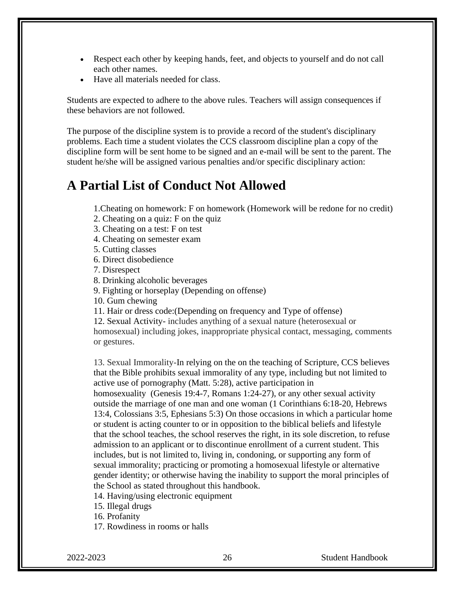- Respect each other by keeping hands, feet, and objects to yourself and do not call each other names.
- Have all materials needed for class.

Students are expected to adhere to the above rules. Teachers will assign consequences if these behaviors are not followed.

The purpose of the discipline system is to provide a record of the student's disciplinary problems. Each time a student violates the CCS classroom discipline plan a copy of the discipline form will be sent home to be signed and an e-mail will be sent to the parent. The student he/she will be assigned various penalties and/or specific disciplinary action:

#### **A Partial List of Conduct Not Allowed**

1.Cheating on homework: F on homework (Homework will be redone for no credit)

2. Cheating on a quiz: F on the quiz

3. Cheating on a test: F on test

4. Cheating on semester exam

5. Cutting classes

6. Direct disobedience

7. Disrespect

8. Drinking alcoholic beverages

9. Fighting or horseplay (Depending on offense)

10. Gum chewing

11. Hair or dress code:(Depending on frequency and Type of offense)

12. Sexual Activity- includes anything of a sexual nature (heterosexual or homosexual) including jokes, inappropriate physical contact, messaging, comments or gestures.

13. Sexual Immorality-In relying on the on the teaching of Scripture, CCS believes that the Bible prohibits sexual immorality of any type, including but not limited to active use of pornography (Matt. 5:28), active participation in homosexuality [\(Genesis 19:4-7,](http://biblia.com/bible/nasb95/Genesis%2019.4-7) [Romans 1:24-27\)](http://biblia.com/bible/nasb95/Romans%201.24-27), or any other sexual activity outside the marriage of one man and one woman [\(1 Corinthians 6:18-20,](http://biblia.com/bible/nasb95/1%20Corinthians%206.18-20) [Hebrews](http://biblia.com/bible/nasb95/Hebrews%2013.4)  [13:4,](http://biblia.com/bible/nasb95/Hebrews%2013.4) [Colossians](http://www.jw.org/en/publications/bible/nwt/books/colossians/3/#v51003005) 3:5, [Ephesians](http://www.jw.org/en/publications/bible/nwt/books/ephesians/5/#v49005003) 5:3) On those occasions in which a particular home or student is acting counter to or in opposition to the biblical beliefs and lifestyle that the school teaches, the school reserves the right, in its sole discretion, to refuse admission to an applicant or to discontinue enrollment of a current student. This includes, but is not limited to, living in, condoning, or supporting any form of sexual immorality; practicing or promoting a homosexual lifestyle or alternative gender identity; or otherwise having the inability to support the moral principles of the School as stated throughout this handbook.

14. Having/using electronic equipment

15. Illegal drugs

16. Profanity

17. Rowdiness in rooms or halls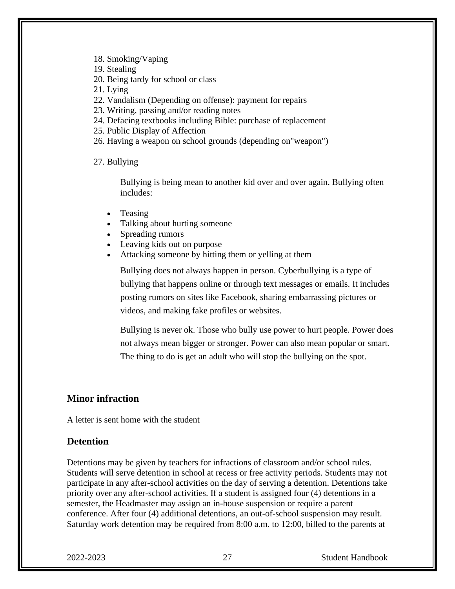- 18. Smoking/Vaping
- 19. Stealing
- 20. Being tardy for school or class
- 21. Lying
- 22. Vandalism (Depending on offense): payment for repairs
- 23. Writing, passing and/or reading notes
- 24. Defacing textbooks including Bible: purchase of replacement
- 25. Public Display of Affection
- 26. Having a weapon on school grounds (depending on"weapon")

27. Bullying

Bullying is being mean to another kid over and over again. Bullying often includes:

- Teasing
- Talking about hurting someone
- Spreading rumors
- Leaving kids out on purpose
- Attacking someone by hitting them or yelling at them

Bullying does not always happen in person. Cyberbullying is a type of bullying that happens online or through text messages or emails. It includes posting rumors on sites like Facebook, sharing embarrassing pictures or videos, and making fake profiles or websites.

Bullying is never ok. Those who bully use power to hurt people. Power does not always mean bigger or stronger. Power can also mean popular or smart. The thing to do is get an adult who will stop the bullying on the spot.

#### **Minor infraction**

A letter is sent home with the student

#### **Detention**

Detentions may be given by teachers for infractions of classroom and/or school rules. Students will serve detention in school at recess or free activity periods. Students may not participate in any after-school activities on the day of serving a detention. Detentions take priority over any after-school activities. If a student is assigned four (4) detentions in a semester, the Headmaster may assign an in-house suspension or require a parent conference. After four (4) additional detentions, an out-of-school suspension may result. Saturday work detention may be required from 8:00 a.m. to 12:00, billed to the parents at

2022-2023 27 Student Handbook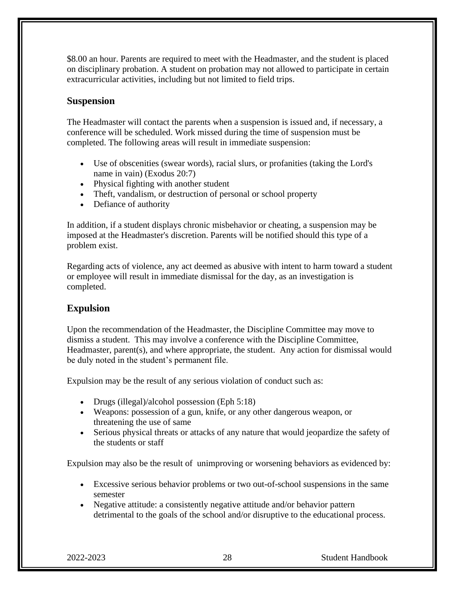\$8.00 an hour. Parents are required to meet with the Headmaster, and the student is placed on disciplinary probation. A student on probation may not allowed to participate in certain extracurricular activities, including but not limited to field trips.

#### **Suspension**

The Headmaster will contact the parents when a suspension is issued and, if necessary, a conference will be scheduled. Work missed during the time of suspension must be completed. The following areas will result in immediate suspension:

- Use of obscenities (swear words), racial slurs, or profanities (taking the Lord's name in vain) (Exodus 20:7)
- Physical fighting with another student
- Theft, vandalism, or destruction of personal or school property
- Defiance of authority

In addition, if a student displays chronic misbehavior or cheating, a suspension may be imposed at the Headmaster's discretion. Parents will be notified should this type of a problem exist.

Regarding acts of violence, any act deemed as abusive with intent to harm toward a student or employee will result in immediate dismissal for the day, as an investigation is completed.

#### **Expulsion**

Upon the recommendation of the Headmaster, the Discipline Committee may move to dismiss a student. This may involve a conference with the Discipline Committee, Headmaster, parent(s), and where appropriate, the student. Any action for dismissal would be duly noted in the student's permanent file.

Expulsion may be the result of any serious violation of conduct such as:

- Drugs (illegal)/alcohol possession (Eph 5:18)
- Weapons: possession of a gun, knife, or any other dangerous weapon, or threatening the use of same
- Serious physical threats or attacks of any nature that would jeopardize the safety of the students or staff

Expulsion may also be the result of unimproving or worsening behaviors as evidenced by:

- Excessive serious behavior problems or two out-of-school suspensions in the same semester
- Negative attitude: a consistently negative attitude and/or behavior pattern detrimental to the goals of the school and/or disruptive to the educational process.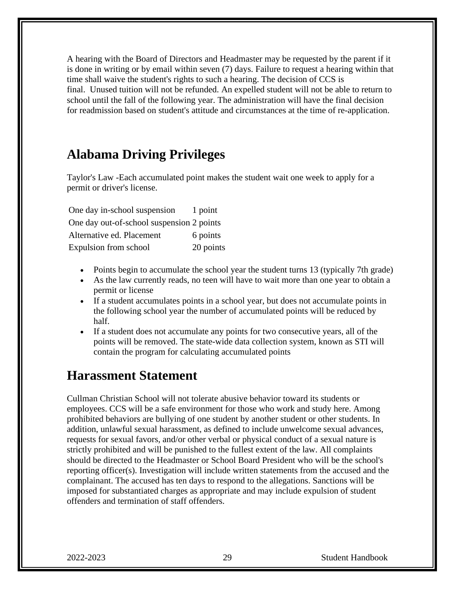A hearing with the Board of Directors and Headmaster may be requested by the parent if it is done in writing or by email within seven (7) days. Failure to request a hearing within that time shall waive the student's rights to such a hearing. The decision of CCS is final. Unused tuition will not be refunded. An expelled student will not be able to return to school until the fall of the following year. The administration will have the final decision for readmission based on student's attitude and circumstances at the time of re-application.

#### **Alabama Driving Privileges**

Taylor's Law -Each accumulated point makes the student wait one week to apply for a permit or driver's license.

One day in-school suspension 1 point One day out-of-school suspension 2 points Alternative ed. Placement 6 points Expulsion from school 20 points

- Points begin to accumulate the school year the student turns 13 (typically 7th grade)
- As the law currently reads, no teen will have to wait more than one year to obtain a permit or license
- If a student accumulates points in a school year, but does not accumulate points in the following school year the number of accumulated points will be reduced by half.
- If a student does not accumulate any points for two consecutive years, all of the points will be removed. The state-wide data collection system, known as STI will contain the program for calculating accumulated points

#### **Harassment Statement**

Cullman Christian School will not tolerate abusive behavior toward its students or employees. CCS will be a safe environment for those who work and study here. Among prohibited behaviors are bullying of one student by another student or other students. In addition, unlawful sexual harassment, as defined to include unwelcome sexual advances, requests for sexual favors, and/or other verbal or physical conduct of a sexual nature is strictly prohibited and will be punished to the fullest extent of the law. All complaints should be directed to the Headmaster or School Board President who will be the school's reporting officer(s). Investigation will include written statements from the accused and the complainant. The accused has ten days to respond to the allegations. Sanctions will be imposed for substantiated charges as appropriate and may include expulsion of student offenders and termination of staff offenders.

2022-2023 29 Student Handbook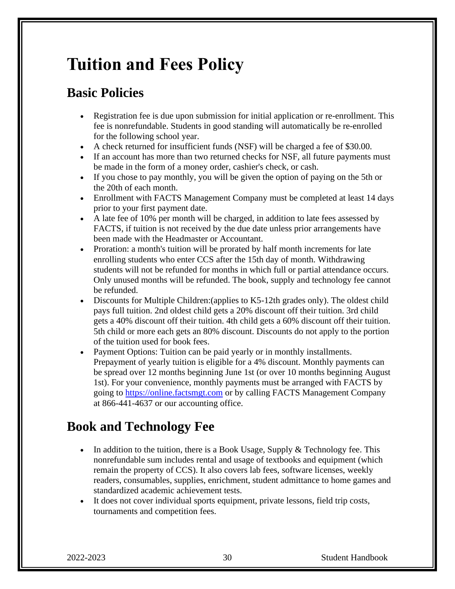# **Tuition and Fees Policy**

### **Basic Policies**

- Registration fee is due upon submission for initial application or re-enrollment. This fee is nonrefundable. Students in good standing will automatically be re-enrolled for the following school year.
- A check returned for insufficient funds (NSF) will be charged a fee of \$30.00.
- If an account has more than two returned checks for NSF, all future payments must be made in the form of a money order, cashier's check, or cash.
- If you chose to pay monthly, you will be given the option of paying on the 5th or the 20th of each month.
- Enrollment with FACTS Management Company must be completed at least 14 days prior to your first payment date.
- A late fee of 10% per month will be charged, in addition to late fees assessed by FACTS, if tuition is not received by the due date unless prior arrangements have been made with the Headmaster or Accountant.
- Proration: a month's tuition will be prorated by half month increments for late enrolling students who enter CCS after the 15th day of month. Withdrawing students will not be refunded for months in which full or partial attendance occurs. Only unused months will be refunded. The book, supply and technology fee cannot be refunded.
- Discounts for Multiple Children: (applies to K5-12th grades only). The oldest child pays full tuition. 2nd oldest child gets a 20% discount off their tuition. 3rd child gets a 40% discount off their tuition. 4th child gets a 60% discount off their tuition. 5th child or more each gets an 80% discount. Discounts do not apply to the portion of the tuition used for book fees.
- Payment Options: Tuition can be paid yearly or in monthly installments. Prepayment of yearly tuition is eligible for a 4% discount. Monthly payments can be spread over 12 months beginning June 1st (or over 10 months beginning August 1st). For your convenience, monthly payments must be arranged with FACTS by going to [https://online.factsmgt.com](https://online.factsmgt.com/) or by calling FACTS Management Company at 866-441-4637 or our accounting office.

### **Book and Technology Fee**

- In addition to the tuition, there is a Book Usage, Supply  $&$  Technology fee. This nonrefundable sum includes rental and usage of textbooks and equipment (which remain the property of CCS). It also covers lab fees, software licenses, weekly readers, consumables, supplies, enrichment, student admittance to home games and standardized academic achievement tests.
- It does not cover individual sports equipment, private lessons, field trip costs, tournaments and competition fees.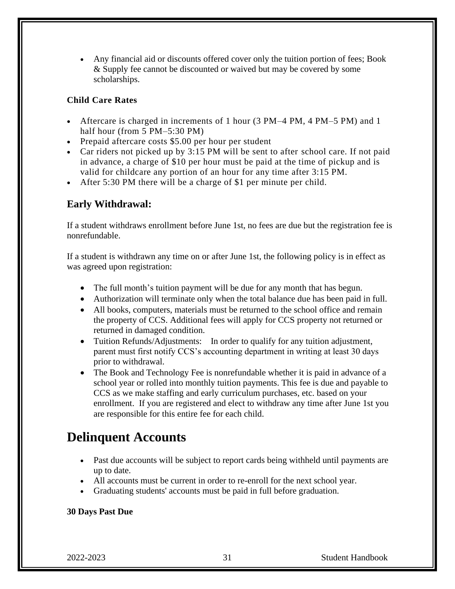• Any financial aid or discounts offered cover only the tuition portion of fees; Book & Supply fee cannot be discounted or waived but may be covered by some scholarships.

#### **Child Care Rates**

- Aftercare is charged in increments of 1 hour (3 PM–4 PM, 4 PM–5 PM) and 1 half hour (from 5 PM–5:30 PM)
- Prepaid aftercare costs \$5.00 per hour per student
- Car riders not picked up by 3:15 PM will be sent to after school care. If not paid in advance, a charge of \$10 per hour must be paid at the time of pickup and is valid for childcare any portion of an hour for any time after 3:15 PM.
- After 5:30 PM there will be a charge of \$1 per minute per child.

#### **Early Withdrawal:**

If a student withdraws enrollment before June 1st, no fees are due but the registration fee is nonrefundable.

If a student is withdrawn any time on or after June 1st, the following policy is in effect as was agreed upon registration:

- The full month's tuition payment will be due for any month that has begun.
- Authorization will terminate only when the total balance due has been paid in full.
- All books, computers, materials must be returned to the school office and remain the property of CCS. Additional fees will apply for CCS property not returned or returned in damaged condition.
- Tuition Refunds/Adjustments: In order to qualify for any tuition adjustment, parent must first notify CCS's accounting department in writing at least 30 days prior to withdrawal.
- The Book and Technology Fee is nonrefundable whether it is paid in advance of a school year or rolled into monthly tuition payments. This fee is due and payable to CCS as we make staffing and early curriculum purchases, etc. based on your enrollment. If you are registered and elect to withdraw any time after June 1st you are responsible for this entire fee for each child.

#### **Delinquent Accounts**

- Past due accounts will be subject to report cards being withheld until payments are up to date.
- All accounts must be current in order to re-enroll for the next school year.
- Graduating students' accounts must be paid in full before graduation.

#### **30 Days Past Due**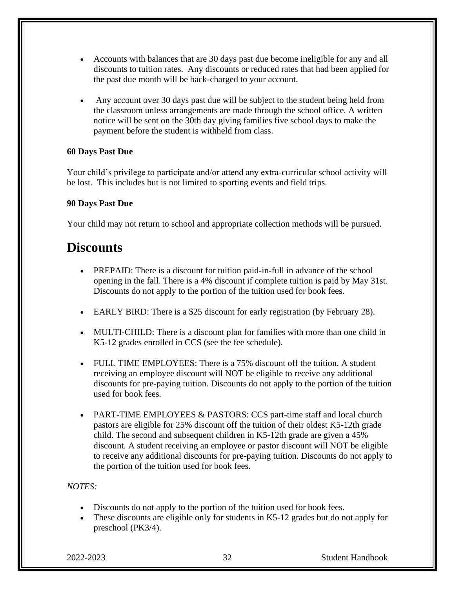- Accounts with balances that are 30 days past due become ineligible for any and all discounts to tuition rates. Any discounts or reduced rates that had been applied for the past due month will be back-charged to your account.
- Any account over 30 days past due will be subject to the student being held from the classroom unless arrangements are made through the school office. A written notice will be sent on the 30th day giving families five school days to make the payment before the student is withheld from class.

#### **60 Days Past Due**

Your child's privilege to participate and/or attend any extra-curricular school activity will be lost. This includes but is not limited to sporting events and field trips.

#### **90 Days Past Due**

Your child may not return to school and appropriate collection methods will be pursued.

#### **Discounts**

- PREPAID: There is a discount for tuition paid-in-full in advance of the school opening in the fall. There is a 4% discount if complete tuition is paid by May 31st. Discounts do not apply to the portion of the tuition used for book fees.
- EARLY BIRD: There is a \$25 discount for early registration (by February 28).
- MULTI-CHILD: There is a discount plan for families with more than one child in K5-12 grades enrolled in CCS (see the fee schedule).
- FULL TIME EMPLOYEES: There is a 75% discount off the tuition. A student receiving an employee discount will NOT be eligible to receive any additional discounts for pre-paying tuition. Discounts do not apply to the portion of the tuition used for book fees.
- PART-TIME EMPLOYEES & PASTORS: CCS part-time staff and local church pastors are eligible for 25% discount off the tuition of their oldest K5-12th grade child. The second and subsequent children in K5-12th grade are given a 45% discount. A student receiving an employee or pastor discount will NOT be eligible to receive any additional discounts for pre-paying tuition. Discounts do not apply to the portion of the tuition used for book fees.

#### *NOTES:*

- Discounts do not apply to the portion of the tuition used for book fees.
- These discounts are eligible only for students in K5-12 grades but do not apply for preschool (PK3/4).